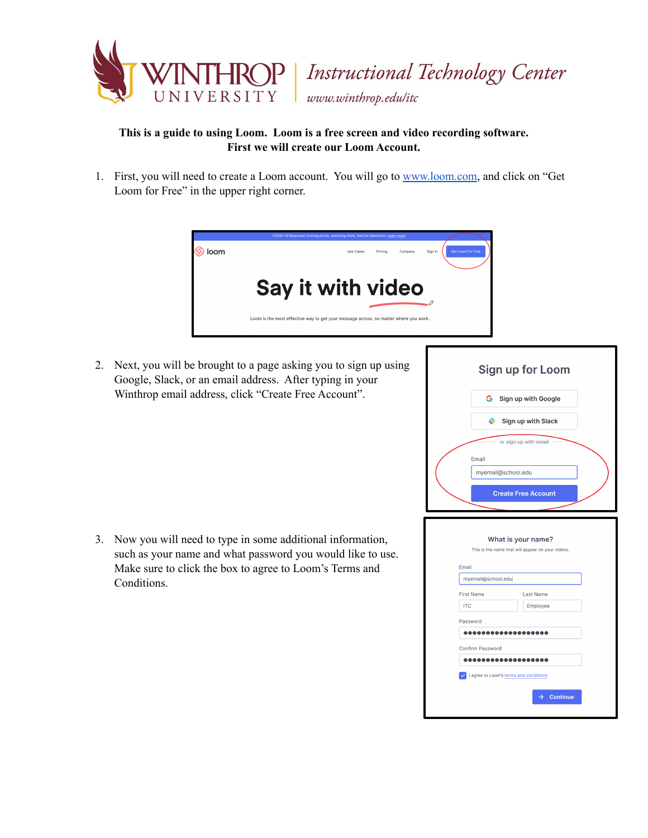

**Instructional Technology Center** www.winthrop.edulitc

## **This is a guide to using Loom. Loom is a free screen and video recording software. First we will create our Loom Account.**

1. First, you will need to create a Loom account. You will go to [www.loom.com,](http://www.loom.com/) and click on "Get Loom for Free" in the upper right corner.



2. Next, you will be brought to a page asking you to sign up using Google, Slack, or an email address. After typing in your Winthrop email address, click "Create Free Account".

3. Now you will need to type in some additional information, such as your name and what password you would like to use. Make sure to click the box to agree to Loom's Terms and Conditions.